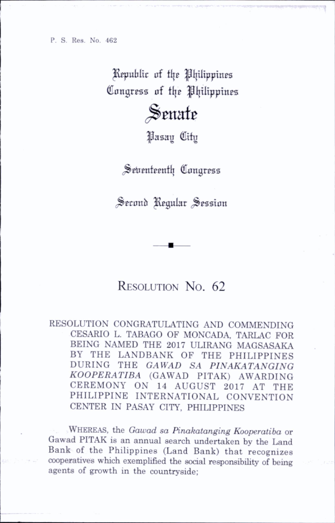P. S. Res. No. 462

Republic of the Philippines Congress of the Philippines

## Senate

IJasau City

Seirenteenth Congress

Second Regular Session

## RESOLUTION No. 62

RESOLUTION CONGRATULATING AND COMMENDING CESARIO L. TABAGO OF MONCADA, TARLAC FOR BEING NAMED THE 2017 ULIRANG MAGSASAKA BY THE LANDBANK OF THE PHILIPPINES DURING THE GAWAD SA PINAKATANGING KOOPERATIBA (GAWAD PITAK) AWARDING<br>CEREMONY ON 14 AUGUST 2017 AT THE ON 14 AUGUST 2017 AT THE PHILIPPINE INTERNATIONAL CONVENTION CENTER IN PASAY CITY, PHILIPPINES

WHEREAS, the Gawad sa Pinakatanging Kooperatiba or Gawad PITAK is an annual search undertaken by the Land Bank of the Philippines (Land Bank) that recognizes cooperatives which exemplified the social responsibility of being agents of growth in the countryside;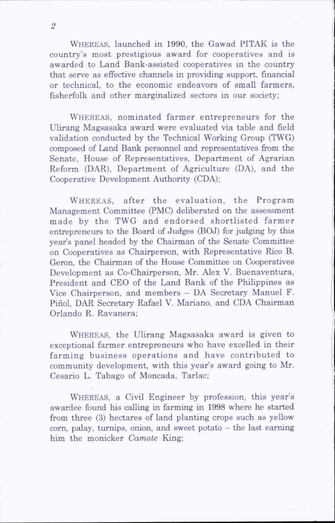Whereas, launched in 1990, the Gawad PITAK is the country's most prestigious award for cooperatives and is awarded to Land Bank-assisted cooperatives in the country that serve as effective channels in providing support, financial or technical, to the economic endeavors of small farmers, fisherfolk and other marginalized sectors in our society;

WHEREAS, nominated farmer entrepreneurs for the Ulirang Magsasaka award were evaluated via table and field vahdation conducted by the Technical Working Group (TWG) composed of Land Bank personnel and representatives from the Senate, House of Representatives, Department of Agrarian Reform (DAR), Department of Agriculture (DA), and the Cooperative Development Authority (CDA);

WHEREAS, after the evaluation, the Program Management Committee (PMC) deliberated on the assessment made by the TWG and endorsed shortlisted farmer entrepreneurs to the Board of Judges (BOJ) for judging by this year's panel headed by the Chairman of the Senate Committee on Cooperatives as Chairperson, with Representative Rico B. Geron, the Chairman of the House Committee on Cooperatives Development as Co-Chairperson, Mr. Alex V. Buenaventura, President and CEO of the Land Bank of the Philippines as Vice Chairperson, and members - DA Secretary Manuel F. Pinol, DAR Secretary Rafael V. Mariano, and CDA Chairman Orlando R. Ravanera;

Whereas, the Ulirang Magsasaka award is given to exceptional farmer entrepreneurs who have excelled in their farming business operations and have contributed to community development, with this year's award going to Mr. Cesario L. Tabago of Moncada, Tarlac;

Whereas, a Civil Engineer by profession, this year's awardee found his calling in farming in 1998 where he started from three (3) hectares of land planting crops such as yellow  $corn.$  palay, turnips, onion, and sweet potato  $-$  the last earning him the monicker Camote King;